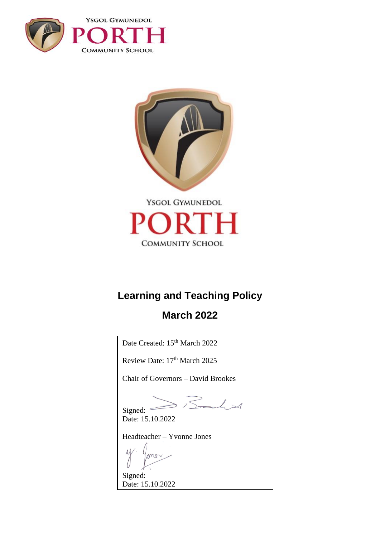



# **Learning and Teaching Policy**

# **March 2022**

Date Created: 15<sup>th</sup> March 2022 Review Date:  $17<sup>th</sup> March 2025$ Chair of Governors – David Brookes  $Signed: 35$ Date: 15.10.2022 Headteacher – Yvonne Jones ono Signed: Date: 15.10.2022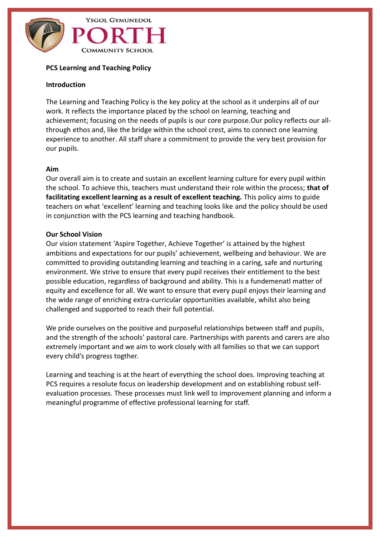

#### **PCS Learning and Teaching Policy**

#### **Introduction**

The Learning and Teaching Policy is the key policy at the school as it underpins all of our work. It reflects the importance placed by the school on learning, teaching and achievement; focusing on the needs of pupils is our core purpose.Our policy reflects our allthrough ethos and, like the bridge within the school crest, aims to connect one learning experience to another. All staff share a commitment to provide the very best provision for our pupils.

#### **Aim**

Our overall aim is to create and sustain an excellent learning culture for every pupil within the school. To achieve this, teachers must understand their role within the process; **that of facilitating excellent learning as a result of excellent teaching.** This policy aims to guide teachers on what 'excellent' learning and teaching looks like and the policy should be used in conjunction with the PCS learning and teaching handbook.

#### **Our School Vision**

Our vision statement 'Aspire Together, Achieve Together' is attained by the highest ambitions and expectations for our pupils' achievement, wellbeing and behaviour. We are committed to providing outstanding learning and teaching in a caring, safe and nurturing environment. We strive to ensure that every pupil receives their entitlement to the best possible education, regardless of background and ability. This is a fundemenatl matter of equity and excellence for all. We want to ensure that every pupil enjoys their learning and the wide range of enriching extra-curricular opportunities available, whilst also being challenged and supported to reach their full potential.

We pride ourselves on the positive and purposeful relationships between staff and pupils, and the strength of the schools' pastoral care. Partnerships with parents and carers are also extremely important and we aim to work closely with all families so that we can support every child's progress togther.

Learning and teaching is at the heart of everything the school does. Improving teaching at PCS requires a resolute focus on leadership development and on establishing robust selfevaluation processes. These processes must link well to improvement planning and inform a meaningful programme of effective professional learning for staff.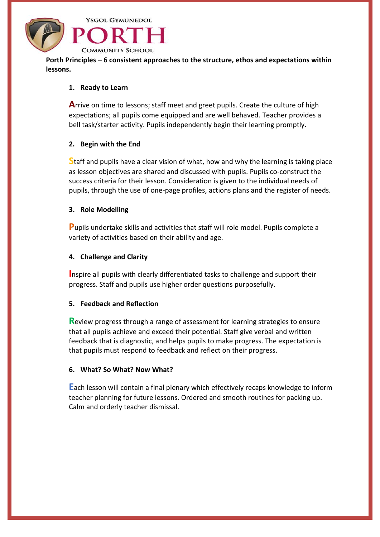

**Porth Principles – 6 consistent approaches to the structure, ethos and expectations within lessons.**

#### **1. Ready to Learn**

**A**rrive on time to lessons; staff meet and greet pupils. Create the culture of high expectations; all pupils come equipped and are well behaved. Teacher provides a bell task/starter activity. Pupils independently begin their learning promptly.

#### **2. Begin with the End**

**S**taff and pupils have a clear vision of what, how and why the learning is taking place as lesson objectives are shared and discussed with pupils. Pupils co-construct the success criteria for their lesson. Consideration is given to the individual needs of pupils, through the use of one-page profiles, actions plans and the register of needs.

#### **3. Role Modelling**

**P**upils undertake skills and activities that staff will role model. Pupils complete a variety of activities based on their ability and age.

#### **4. Challenge and Clarity**

**I**nspire all pupils with clearly differentiated tasks to challenge and support their progress. Staff and pupils use higher order questions purposefully.

#### **5. Feedback and Reflection**

**R**eview progress through a range of assessment for learning strategies to ensure that all pupils achieve and exceed their potential. Staff give verbal and written feedback that is diagnostic, and helps pupils to make progress. The expectation is that pupils must respond to feedback and reflect on their progress.

#### **6. What? So What? Now What?**

**E**ach lesson will contain a final plenary which effectively recaps knowledge to inform teacher planning for future lessons. Ordered and smooth routines for packing up. Calm and orderly teacher dismissal.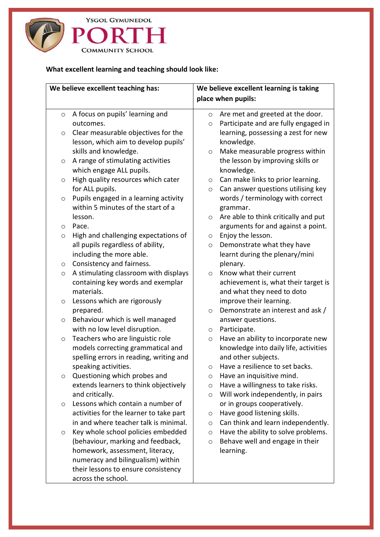

# **What excellent learning and teaching should look like:**

| We believe excellent teaching has: |                                         | We believe excellent learning is taking |                                       |
|------------------------------------|-----------------------------------------|-----------------------------------------|---------------------------------------|
|                                    |                                         |                                         | place when pupils:                    |
| $\circ$                            | A focus on pupils' learning and         | $\circ$                                 | Are met and greeted at the door.      |
|                                    | outcomes.                               | $\circ$                                 | Participate and are fully engaged in  |
| $\circ$                            | Clear measurable objectives for the     |                                         | learning, possessing a zest for new   |
|                                    | lesson, which aim to develop pupils'    |                                         | knowledge.                            |
|                                    | skills and knowledge.                   | $\circ$                                 | Make measurable progress within       |
| O                                  | A range of stimulating activities       |                                         | the lesson by improving skills or     |
|                                    | which engage ALL pupils.                |                                         | knowledge.                            |
| $\circ$                            | High quality resources which cater      | $\circ$                                 | Can make links to prior learning.     |
|                                    | for ALL pupils.                         | $\circ$                                 | Can answer questions utilising key    |
| $\circ$                            | Pupils engaged in a learning activity   |                                         | words / terminology with correct      |
|                                    | within 5 minutes of the start of a      |                                         | grammar.                              |
|                                    | lesson.                                 | $\circ$                                 | Are able to think critically and put  |
| $\circ$                            | Pace.                                   |                                         | arguments for and against a point.    |
| O                                  | High and challenging expectations of    | O                                       | Enjoy the lesson.                     |
|                                    | all pupils regardless of ability,       | $\circ$                                 | Demonstrate what they have            |
|                                    | including the more able.                |                                         | learnt during the plenary/mini        |
| $\circ$                            | Consistency and fairness.               |                                         | plenary.                              |
| $\circ$                            | A stimulating classroom with displays   | $\circ$                                 | Know what their current               |
|                                    | containing key words and exemplar       |                                         | achievement is, what their target is  |
|                                    | materials.                              |                                         | and what they need to doto            |
| O                                  | Lessons which are rigorously            |                                         | improve their learning.               |
|                                    | prepared.                               | $\circ$                                 | Demonstrate an interest and ask /     |
| $\circ$                            | Behaviour which is well managed         |                                         | answer questions.                     |
|                                    | with no low level disruption.           | $\circ$                                 | Participate.                          |
| $\circ$                            | Teachers who are linguistic role        | $\circ$                                 | Have an ability to incorporate new    |
|                                    | models correcting grammatical and       |                                         | knowledge into daily life, activities |
|                                    | spelling errors in reading, writing and |                                         | and other subjects.                   |
|                                    | speaking activities.                    | O                                       | Have a resilience to set backs.       |
| O                                  | Questioning which probes and            | $\circ$                                 | Have an inquisitive mind.             |
|                                    | extends learners to think objectively   | $\circ$                                 | Have a willingness to take risks.     |
|                                    | and critically.                         | $\circ$                                 | Will work independently, in pairs     |
| O                                  | Lessons which contain a number of       |                                         | or in groups cooperatively.           |
|                                    | activities for the learner to take part | O                                       | Have good listening skills.           |
|                                    | in and where teacher talk is minimal.   | $\circ$                                 | Can think and learn independently.    |
| O                                  | Key whole school policies embedded      | $\circ$                                 | Have the ability to solve problems.   |
|                                    | (behaviour, marking and feedback,       | $\circ$                                 | Behave well and engage in their       |
|                                    | homework, assessment, literacy,         |                                         | learning.                             |
|                                    | numeracy and bilingualism) within       |                                         |                                       |
|                                    | their lessons to ensure consistency     |                                         |                                       |
|                                    | across the school.                      |                                         |                                       |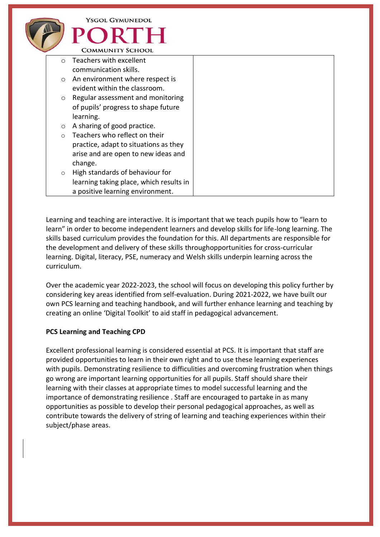|            | YSGOL GYMUNEDOL<br>ORTH<br><b>COMMUNITY SCHOOL</b> |  |
|------------|----------------------------------------------------|--|
| $\circ$    | Teachers with excellent                            |  |
|            | communication skills.                              |  |
| $\circ$    | An environment where respect is                    |  |
|            | evident within the classroom.                      |  |
| $\circ$    | Regular assessment and monitoring                  |  |
|            | of pupils' progress to shape future                |  |
|            | learning.                                          |  |
| $\circ$    | A sharing of good practice.                        |  |
| $\bigcirc$ | Teachers who reflect on their                      |  |
|            | practice, adapt to situations as they              |  |
|            | arise and are open to new ideas and                |  |
|            | change.                                            |  |
| $\circ$    | High standards of behaviour for                    |  |
|            | learning taking place, which results in            |  |
|            | a positive learning environment.                   |  |

Learning and teaching are interactive. It is important that we teach pupils how to "learn to learn" in order to become independent learners and develop skills for life-long learning. The skills based curriculum provides the foundation for this. All departments are responsible for the development and delivery of these skills throughopportunities for cross-curricular learning. Digital, literacy, PSE, numeracy and Welsh skills underpin learning across the curriculum.

Over the academic year 2022-2023, the school will focus on developing this policy further by considering key areas identified from self-evaluation. During 2021-2022, we have built our own PCS learning and teaching handbook, and will further enhance learning and teaching by creating an online 'Digital Toolkit' to aid staff in pedagogical advancement.

## **PCS Learning and Teaching CPD**

Excellent professional learning is considered essential at PCS. It is important that staff are provided opportunities to learn in their own right and to use these learning experiences with pupils. Demonstrating resilience to difficulities and overcoming frustration when things go wrong are important learning opportunities for all pupils. Staff should share their learning with their classes at appropriate times to model successful learning and the importance of demonstrating resilience . Staff are encouraged to partake in as many opportunities as possible to develop their personal pedagogical approaches, as well as contribute towards the delivery of string of learning and teaching experiences within their subject/phase areas.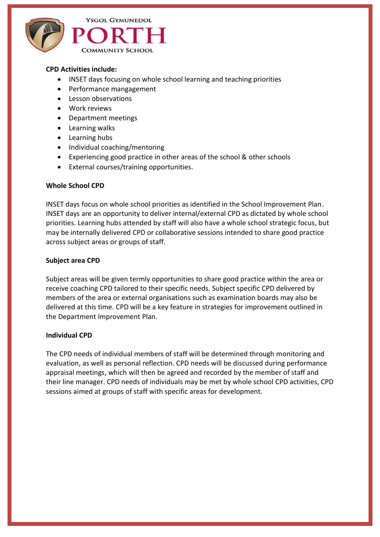

### **CPD Activities include:**

- INSET days focusing on whole school learning and teaching priorities
- Performance mangagement
- Lesson observations
- Work reviews
- Department meetings
- Learning walks
- Learning hubs
- Individual coaching/mentoring
- Experiencing good practice in other areas of the school & other schools
- External courses/training opportunities.

#### **Whole School CPD**

INSET days focus on whole school priorities as identified in the School Improvement Plan. INSET days are an opportunity to deliver internal/external CPD as dictated by whole school priorities. Learning hubs attended by staff will also have a whole school strategic focus, but may be internally delivered CPD or collaborative sessions intended to share good practice across subject areas or groups of staff.

#### **Subject area CPD**

Subject areas will be given termly opportunities to share good practice within the area or receive coaching CPD tailored to their specific needs. Subject specific CPD delivered by members of the area or external organisations such as examination boards may also be delivered at this time. CPD will be a key feature in strategies for improvement outlined in the Department Improvement Plan.

#### **Individual CPD**

The CPD needs of individual members of staff will be determined through monitoring and evaluation, as well as personal reflection. CPD needs will be discussed during performance appraisal meetings, which will then be agreed and recorded by the member of staff and their line manager. CPD needs of individuals may be met by whole school CPD activities, CPD sessions aimed at groups of staff with specific areas for development.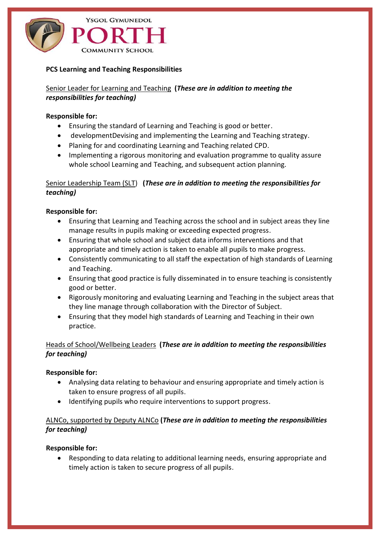

### **PCS Learning and Teaching Responsibilities**

Senior Leader for Learning and Teaching **(***These are in addition to meeting the responsibilities for teaching)*

#### **Responsible for:**

- Ensuring the standard of Learning and Teaching is good or better.
- developmentDevising and implementing the Learning and Teaching strategy.
- Planing for and coordinating Learning and Teaching related CPD.
- Implementing a rigorous monitoring and evaluation programme to quality assure whole school Learning and Teaching, and subsequent action planning.

## Senior Leadership Team (SLT) **(***These are in addition to meeting the responsibilities for teaching)*

## **Responsible for:**

- Ensuring that Learning and Teaching across the school and in subject areas they line manage results in pupils making or exceeding expected progress.
- Ensuring that whole school and subject data informs interventions and that appropriate and timely action is taken to enable all pupils to make progress.
- Consistently communicating to all staff the expectation of high standards of Learning and Teaching.
- Ensuring that good practice is fully disseminated in to ensure teaching is consistently good or better.
- Rigorously monitoring and evaluating Learning and Teaching in the subject areas that they line manage through collaboration with the Director of Subject.
- Ensuring that they model high standards of Learning and Teaching in their own practice.

# Heads of School/Wellbeing Leaders **(***These are in addition to meeting the responsibilities for teaching)*

## **Responsible for:**

- Analysing data relating to behaviour and ensuring appropriate and timely action is taken to ensure progress of all pupils.
- Identifying pupils who require interventions to support progress.

## ALNCo, supported by Deputy ALNCo **(***These are in addition to meeting the responsibilities for teaching)*

#### **Responsible for:**

• Responding to data relating to additional learning needs, ensuring appropriate and timely action is taken to secure progress of all pupils.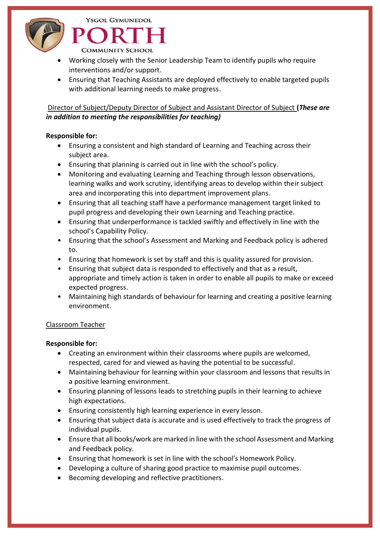

**COMMUNITY SCHOOL** 

**YSGOL GYMUNEDOL** 

- Working closely with the Senior Leadership Team to identify pupils who require interventions and/or support.
- Ensuring that Teaching Assistants are deployed effectively to enable targeted pupils with additional learning needs to make progress.

# Director of Subject/Deputy Director of Subject and Assistant Director of Subject **(***These are in addition to meeting the responsibilities for teaching)*

# **Responsible for:**

- Ensuring a consistent and high standard of Learning and Teaching across their subject area.
- Ensuring that planning is carried out in line with the school's policy.
- Monitoring and evaluating Learning and Teaching through lesson observations, learning walks and work scrutiny, identifying areas to develop within their subject area and incorporating this into department improvement plans.
- Ensuring that all teaching staff have a performance management target linked to pupil progress and developing their own Learning and Teaching practice.
- Ensuring that underperformance is tackled swiftly and effectively in line with the school's Capability Policy.
- Ensuring that the school's Assessment and Marking and Feedback policy is adhered to.
- Ensuring that homework is set by staff and this is quality assured for provision.
- Ensuring that subject data is responded to effectively and that as a result, appropriate and timely action is taken in order to enable all pupils to make or exceed expected progress.
- Maintaining high standards of behaviour for learning and creating a positive learning environment.

# Classroom Teacher

# **Responsible for:**

- Creating an environment within their classrooms where pupils are welcomed, respected, cared for and viewed as having the potential to be successful.
- Maintaining behaviour for learning within your classroom and lessons that results in a positive learning environment.
- Ensuring planning of lessons leads to stretching pupils in their learning to achieve high expectations.
- Ensuring consistently high learning experience in every lesson.
- Ensuring that subject data is accurate and is used effectively to track the progress of individual pupils.
- Ensure that all books/work are marked in line with the school Assessment and Marking and Feedback policy.
- Ensuring that homework is set in line with the school's Homework Policy.
- Developing a culture of sharing good practice to maximise pupil outcomes.
- Becoming developing and reflective practitioners.